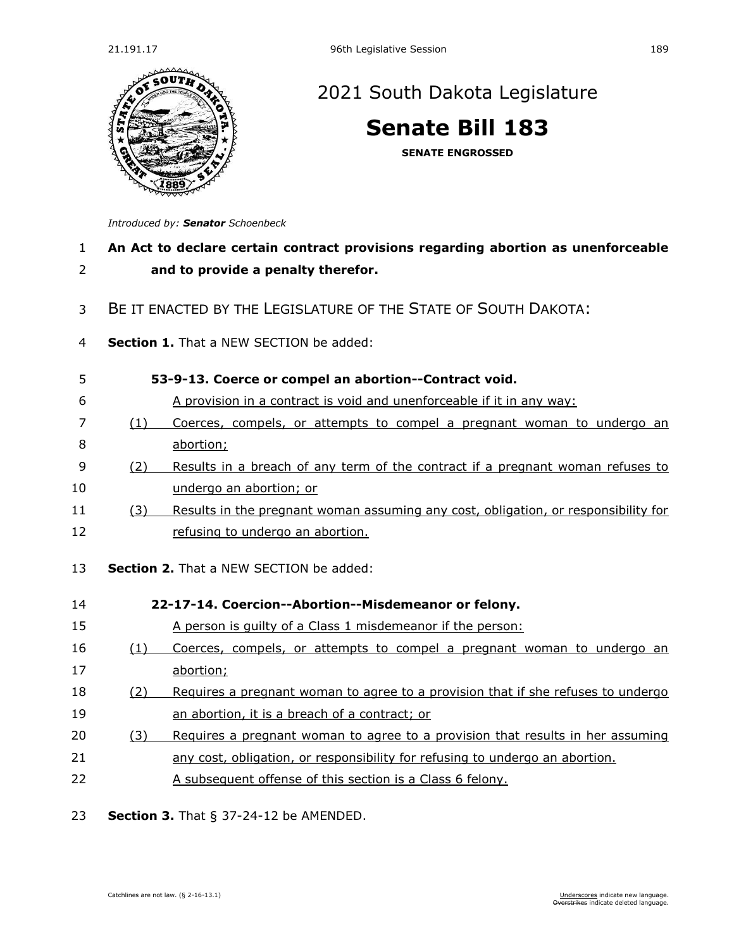

## [2021 South Dakota Legislature](https://sdlegislature.gov/Session/Bills/44)

**[Senate Bill 183](https://sdlegislature.gov/Session/Bill/21911)**

**SENATE ENGROSSED**

*Introduced by: Senator [Schoenbeck](https://sdlegislature.gov/Legislators/Profile/1850/Detail)*

## 1 **An Act to declare certain contract provisions regarding abortion as unenforceable**  2 **and to provide a penalty therefor.**

## 3 BE IT ENACTED BY THE LEGISLATURE OF THE STATE OF SOUTH DAKOTA:

4 **Section 1.** That a NEW SECTION be added:

| 5        |     | 53-9-13. Coerce or compel an abortion--Contract void.                                                  |
|----------|-----|--------------------------------------------------------------------------------------------------------|
| 6        |     | A provision in a contract is void and unenforceable if it in any way:                                  |
| 7        | (1) | Coerces, compels, or attempts to compel a pregnant woman to undergo an                                 |
| 8        |     | abortion;                                                                                              |
| 9        | (2) | Results in a breach of any term of the contract if a pregnant woman refuses to                         |
| 10       |     | undergo an abortion; or                                                                                |
| 11       | (3) | Results in the pregnant woman assuming any cost, obligation, or responsibility for                     |
| 12       |     | refusing to undergo an abortion.                                                                       |
| 13<br>14 |     | <b>Section 2.</b> That a NEW SECTION be added:<br>22-17-14. Coercion--Abortion--Misdemeanor or felony. |
| 15       |     | A person is quilty of a Class 1 misdemeanor if the person:                                             |
| 16       | (1) | Coerces, compels, or attempts to compel a pregnant woman to undergo an                                 |
| 17       |     | abortion;                                                                                              |
| 18       |     |                                                                                                        |
| 19       | (2) | Requires a pregnant woman to agree to a provision that if she refuses to undergo                       |
|          |     | an abortion, it is a breach of a contract; or                                                          |
| 20       | (3) | Requires a pregnant woman to agree to a provision that results in her assuming                         |
| 21       |     | any cost, obligation, or responsibility for refusing to undergo an abortion.                           |
| 22       |     | A subsequent offense of this section is a Class 6 felony.                                              |

23 **Section 3.** [That § 37-24-12 be AMENDED.](https://sdlegislature.gov/Statutes/Codified_Laws/2061739)